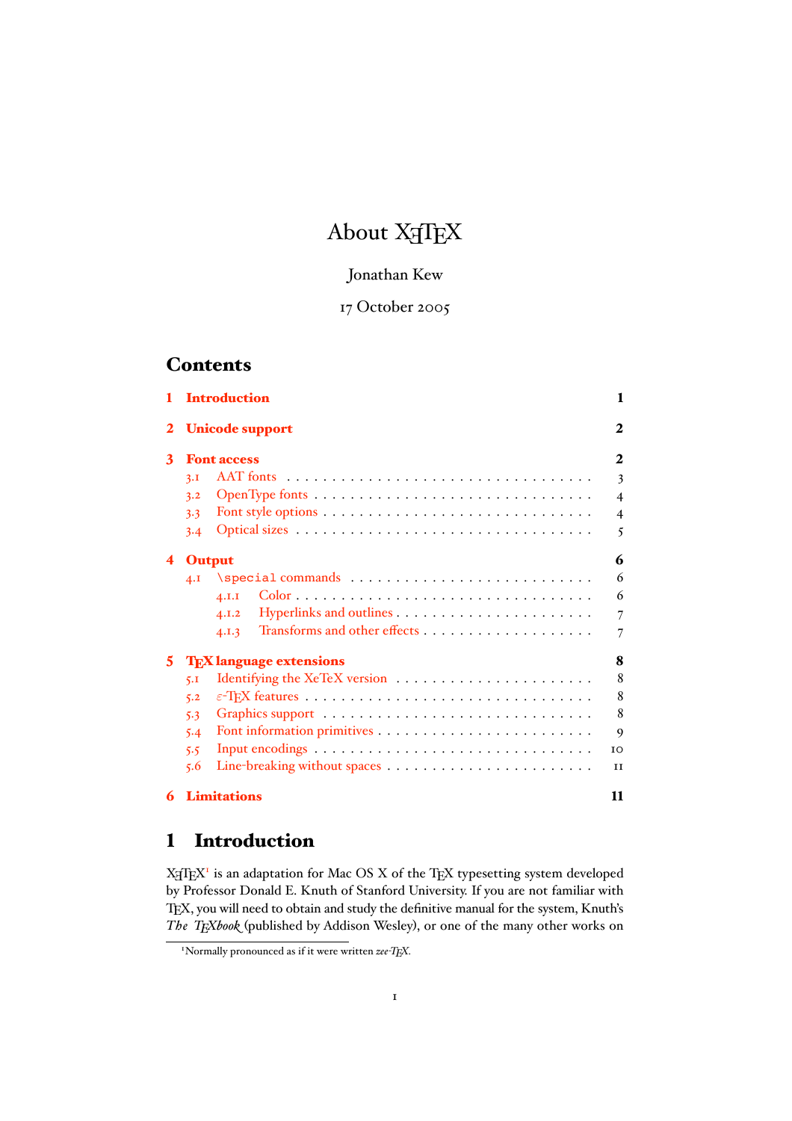# About X<sub>H</sub>T<sub>E</sub>X

## Jonathan Kew

# 17 October 2005

# **Contents**

| $\mathbf{1}$ |                                           | <b>Introduction</b>    | 1                       |  |  |
|--------------|-------------------------------------------|------------------------|-------------------------|--|--|
| 2            |                                           | <b>Unicode support</b> | $\mathbf{2}$            |  |  |
| 3            |                                           | <b>Font access</b>     | $\mathbf{2}$            |  |  |
|              | 3.1                                       |                        | 3                       |  |  |
|              | 3.2                                       |                        | $\overline{\mathbf{4}}$ |  |  |
|              | 3.3                                       |                        | $\overline{4}$          |  |  |
|              | 3.4                                       |                        | 5                       |  |  |
| 4            | <b>Output</b>                             |                        |                         |  |  |
|              | 4.1                                       |                        | 6                       |  |  |
|              |                                           | 4.I.I                  | 6                       |  |  |
|              |                                           | 4.1.2                  | $\overline{7}$          |  |  |
|              |                                           | 4.1.3                  | 7                       |  |  |
| 5            | <b>T<sub>F</sub>X</b> language extensions |                        |                         |  |  |
|              | 5.1                                       |                        | 8                       |  |  |
|              | 5.2                                       |                        | 8                       |  |  |
|              | 5.3                                       |                        | 8                       |  |  |
|              | 5.4                                       |                        | 9                       |  |  |
|              | 5.5                                       |                        | IO                      |  |  |
|              | 5.6                                       |                        | II                      |  |  |
| 6            |                                           | <b>Limitations</b>     | 11                      |  |  |

# 1 Introduction

 $X \in T$  is an adaptation for Mac OS X of the TEX typesetting system developed by Professor Donald E. Knuth of Stanford University. If you are not familiar with TEX, you will need to obtain and study the definitive manual for the system, Knuth's *The TEXbook* (published by Addison Wesley), or one of the many other works on

<sup>1</sup> Normally pronounced as if it were written *zee-TEX*.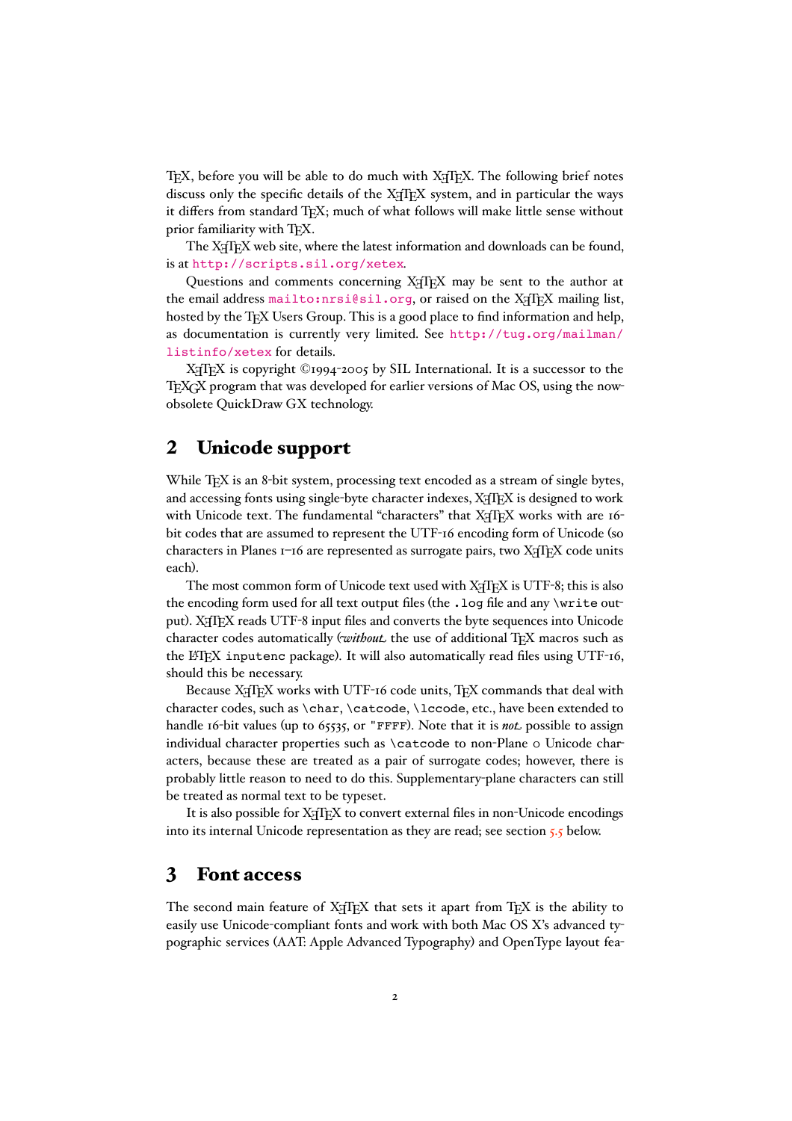<span id="page-1-0"></span>TEX, before you will be able to do much with X<sub>T</sub>TEX. The following brief notes discuss only the specific details of the XATEX system, and in particular the ways it differs from standard T<sub>EX</sub>; much of what follows will make little sense without prior familiarity with TFX.

The X<sub>T</sub>T<sub>E</sub>X web site, where the latest information and downloads can be found, is at <http://scripts.sil.org/xetex>.

Questions and comments concerning XATEX may be sent to the author at the email address <mailto:nrsi@sil.org>, or raised on the X<sub>7</sub>TFX mailing list, hosted by the TFX Users Group. This is a good place to find information and help, as documentation is currently very limited. See [http://tug.org/mailman/](http://tug.org/mailman/listinfo/xetex) [listinfo/xetex](http://tug.org/mailman/listinfo/xetex) for details.

X<sub>I</sub>TEX is copyright ©1994-2005 by SIL International. It is a successor to the TEXGX program that was developed for earlier versions of Mac OS, using the nowobsolete QuickDraw GX technology.

# 2 Unicode support

While T<sub>E</sub>X is an 8-bit system, processing text encoded as a stream of single bytes, and accessing fonts using single-byte character indexes, X<sub>T</sub>TEX is designed to work with Unicode text. The fundamental "characters" that XATEX works with are 16bit codes that are assumed to represent the UTF-16 encoding form of Unicode (so characters in Planes  $I$ -16 are represented as surrogate pairs, two  $X \oplus Y$  code units each).

The most common form of Unicode text used with X<sub>T</sub>T<sub>E</sub>X is UTF-8; this is also the encoding form used for all text output files (the . log file and any \write output). X<sub>H</sub>TEX reads UTF-8 input files and converts the byte sequences into Unicode character codes automatically (*without* the use of additional TEX macros such as the LATEX inputenc package). It will also automatically read files using UTF-16, should this be necessary.

Because X<sub>7</sub>TEX works with UTF-16 code units, TEX commands that deal with character codes, such as \char, \catcode, \lccode, etc., have been extended to handle 16-bit values (up to 65535, or "FFFF). Note that it is *not* possible to assign individual character properties such as \catcode to non-Plane o Unicode characters, because these are treated as a pair of surrogate codes; however, there is probably little reason to need to do this. Supplementary-plane characters can still be treated as normal text to be typeset.

It is also possible for X<sub>T</sub>T<sub>E</sub>X to convert external files in non-Unicode encodings into its internal Unicode representation as they are read; see section [5.5](#page-9-0) below.

## 3 Font access

The second main feature of  $X \nI F X$  that sets it apart from  $T F X$  is the ability to easily use Unicode-compliant fonts and work with both Mac OS X's advanced typographic services (AAT: Apple Advanced Typography) and OpenType layout fea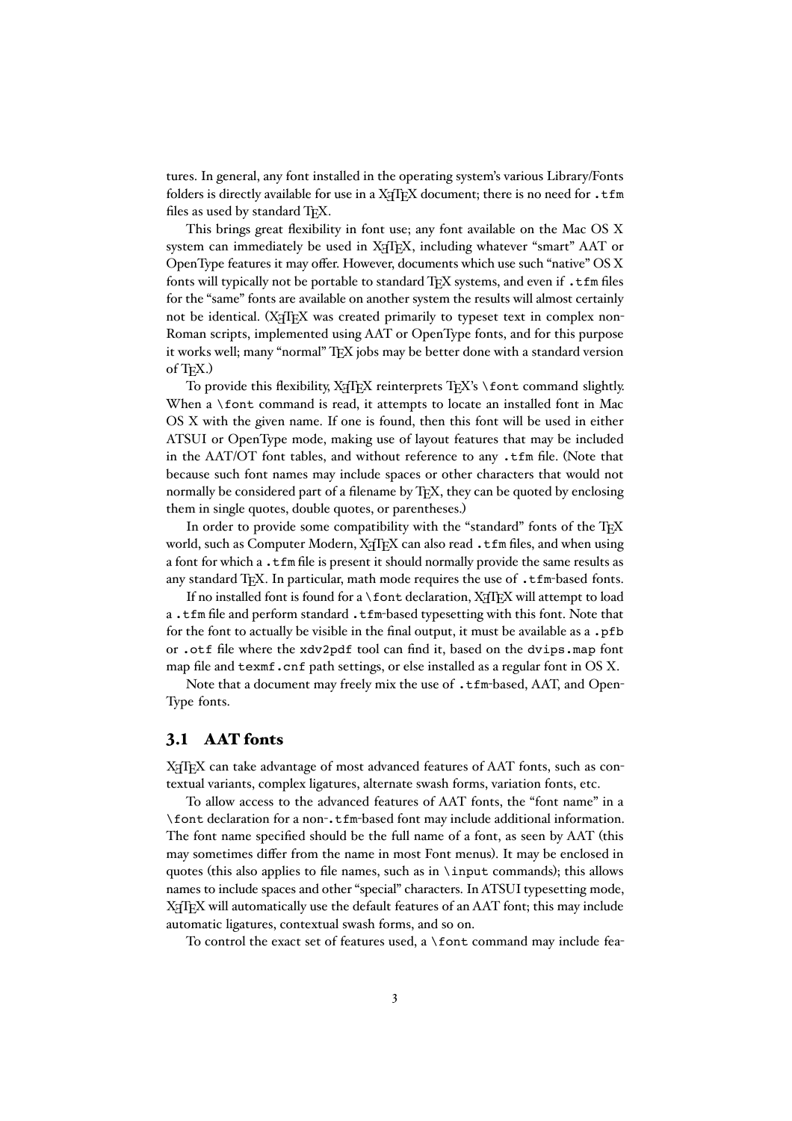<span id="page-2-0"></span>tures. In general, any font installed in the operating system's various Library/Fonts folders is directly available for use in a  $X \nsubseteq FX$  document; there is no need for .tfm files as used by standard TFX.

This brings great flexibility in font use; any font available on the Mac OS X system can immediately be used in X<sub>T</sub>T<sub>E</sub>X, including whatever "smart" AAT or OpenType features it may offer. However, documents which use such "native" OS X fonts will typically not be portable to standard TEX systems, and even if . t fm files for the "same" fonts are available on another system the results will almost certainly not be identical. (X<sub>T</sub>T<sub>EX</sub> was created primarily to typeset text in complex non-Roman scripts, implemented using AAT or OpenType fonts, and for this purpose it works well; many "normal" TEX jobs may be better done with a standard version of T<sub>F</sub>X.)

To provide this flexibility, XATEX reinterprets TEX's \font command slightly. When a \font command is read, it attempts to locate an installed font in Mac OS X with the given name. If one is found, then this font will be used in either ATSUI or OpenType mode, making use of layout features that may be included in the AAT/OT font tables, and without reference to any .tfm file. (Note that because such font names may include spaces or other characters that would not normally be considered part of a filename by TEX, they can be quoted by enclosing them in single quotes, double quotes, or parentheses.)

In order to provide some compatibility with the "standard" fonts of the T<sub>EX</sub> world, such as Computer Modern, XAIEX can also read .tfm files, and when using a font for which a .tfm file is present it should normally provide the same results as any standard T<sub>EX</sub>. In particular, math mode requires the use of  $\cdot$  t fm-based fonts.

If no installed font is found for a  $\font$  font declaration, X $\iff$  X will attempt to load a.tfm file and perform standard.tfm-based typesetting with this font. Note that for the font to actually be visible in the final output, it must be available as a .pfb or .otf file where the xdv2pdf tool can find it, based on the dvips.map font map file and texmf.cnf path settings, or else installed as a regular font in OS X.

Note that a document may freely mix the use of .tfm-based, AAT, and Open-Type fonts.

#### 3.1 AAT fonts

X<sub>T</sub>T<sub>E</sub>X can take advantage of most advanced features of AAT fonts, such as contextual variants, complex ligatures, alternate swash forms, variation fonts, etc.

To allow access to the advanced features of AAT fonts, the "font name" in a \font declaration for a non-.tfm-based font may include additional information. The font name specified should be the full name of a font, as seen by AAT (this may sometimes differ from the name in most Font menus). It may be enclosed in quotes (this also applies to file names, such as in \input commands); this allows names to include spaces and other "special" characters. In ATSUI typesetting mode, X<sub>T</sub>T<sub>E</sub>X will automatically use the default features of an AAT font; this may include automatic ligatures, contextual swash forms, and so on.

To control the exact set of features used, a \font command may include fea-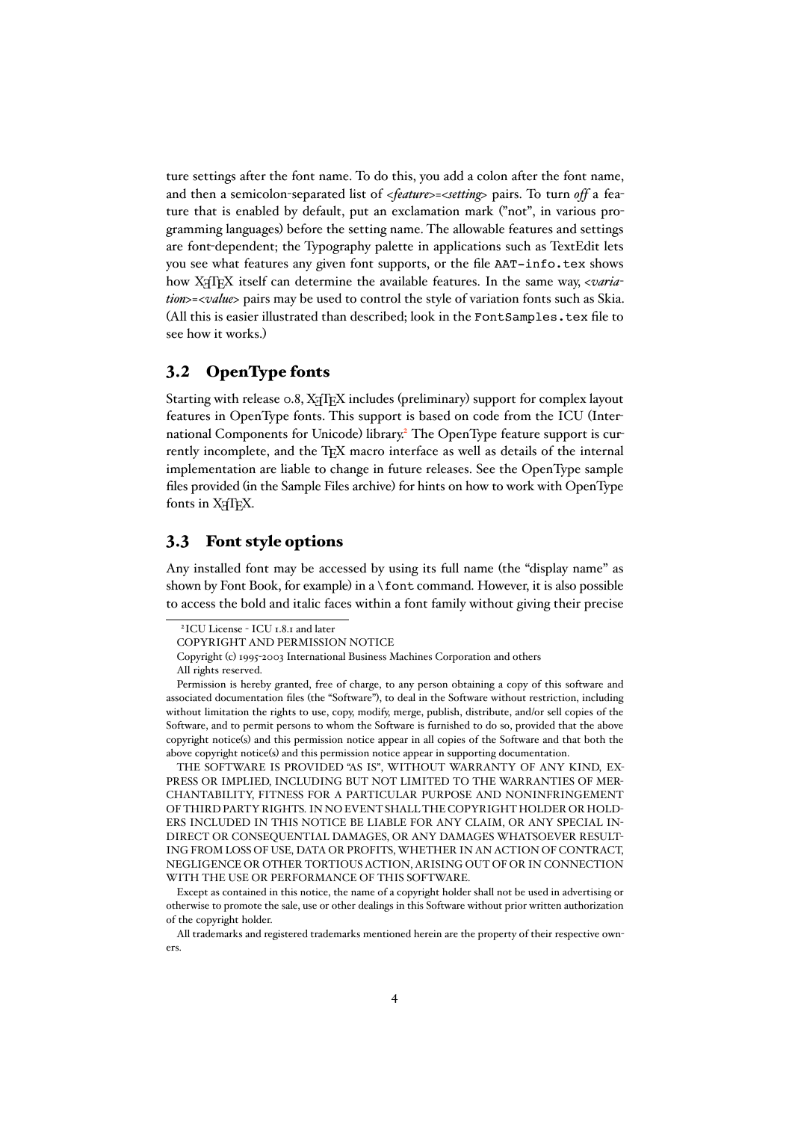<span id="page-3-0"></span>ture settings after the font name. To do this, you add a colon after the font name, and then a semicolon-separated list of *<feature>=<setting>* pairs. To turn *off* a feature that is enabled by default, put an exclamation mark ("not", in various programming languages) before the setting name. The allowable features and settings are font-dependent; the Typography palette in applications such as TextEdit lets you see what features any given font supports, or the file AAT-info.tex shows how X<sub>H</sub>TEX itself can determine the available features. In the same way, <varia*tion>=<value>* pairs may be used to control the style of variation fonts such as Skia. (All this is easier illustrated than described; look in the FontSamples.tex file to see how it works.)

### 3.2 OpenType fonts

Starting with release 0.8, XTIFX includes (preliminary) support for complex layout features in OpenType fonts. This support is based on code from the ICU (International Components for Unicode) library.<sup>2</sup> The OpenType feature support is currently incomplete, and the TEX macro interface as well as details of the internal implementation are liable to change in future releases. See the OpenType sample files provided (in the Sample Files archive) for hints on how to work with OpenType fonts in X<sub>T</sub>TEX.

#### 3.3 Font style options

Any installed font may be accessed by using its full name (the "display name" as shown by Font Book, for example) in a \font command. However, it is also possible to access the bold and italic faces within a font family without giving their precise

THE SOFTWARE IS PROVIDED "AS IS", WITHOUT WARRANTY OF ANY KIND, EX-PRESS OR IMPLIED, INCLUDING BUT NOT LIMITED TO THE WARRANTIES OF MER-CHANTABILITY, FITNESS FOR A PARTICULAR PURPOSE AND NONINFRINGEMENT OF THIRD PARTY RIGHTS. IN NO EVENT SHALL THE COPYRIGHT HOLDER OR HOLD-ERS INCLUDED IN THIS NOTICE BE LIABLE FOR ANY CLAIM, OR ANY SPECIAL IN-DIRECT OR CONSEQUENTIAL DAMAGES, OR ANY DAMAGES WHATSOEVER RESULT-ING FROM LOSS OF USE, DATA OR PROFITS, WHETHER IN AN ACTION OF CONTRACT, NEGLIGENCE OR OTHER TORTIOUS ACTION, ARISING OUT OF OR IN CONNECTION WITH THE USE OR PERFORMANCE OF THIS SOFTWARE.

<sup>2</sup>ICU License - ICU 1.8.1 and later

COPYRIGHT AND PERMISSION NOTICE

Copyright (c) 1995-2003 International Business Machines Corporation and others

All rights reserved.

Permission is hereby granted, free of charge, to any person obtaining a copy of this software and associated documentation files (the "Software"), to deal in the Software without restriction, including without limitation the rights to use, copy, modify, merge, publish, distribute, and/or sell copies of the Software, and to permit persons to whom the Software is furnished to do so, provided that the above copyright notice(s) and this permission notice appear in all copies of the Software and that both the above copyright notice(s) and this permission notice appear in supporting documentation.

Except as contained in this notice, the name of a copyright holder shall not be used in advertising or otherwise to promote the sale, use or other dealings in this Software without prior written authorization of the copyright holder.

All trademarks and registered trademarks mentioned herein are the property of their respective owners.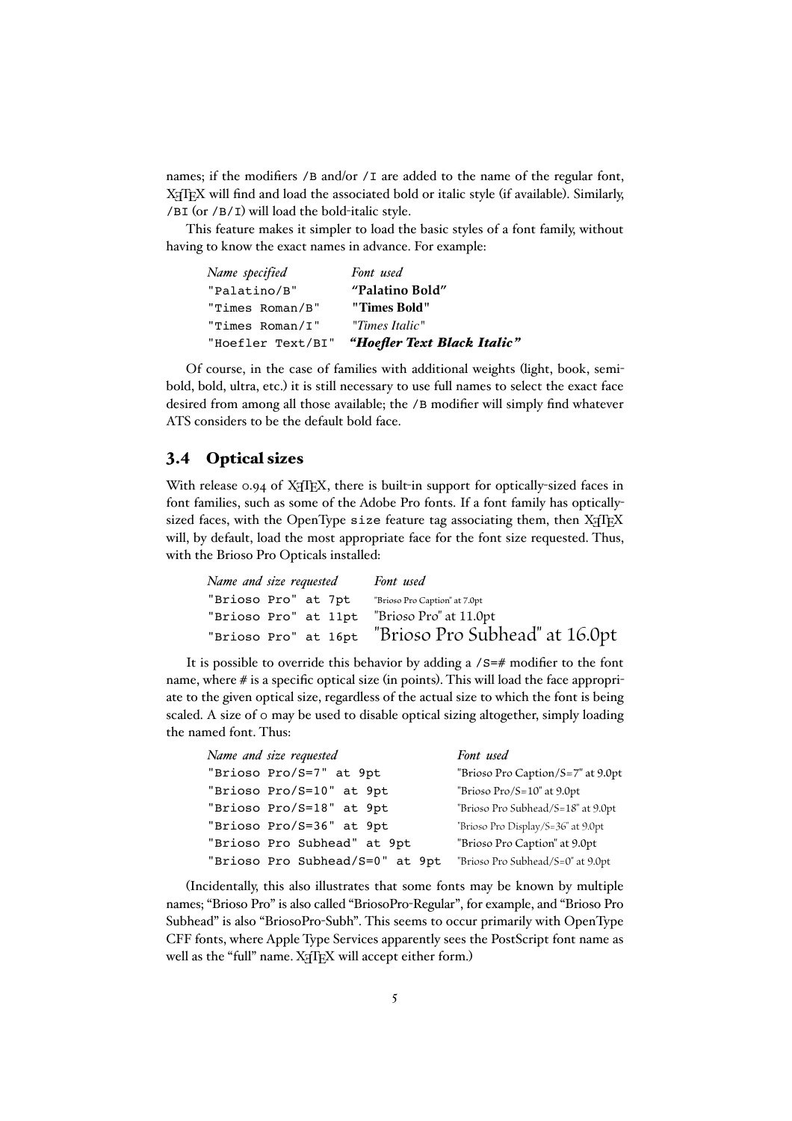<span id="page-4-0"></span>names; if the modifiers /B and/or /I are added to the name of the regular font, X<sub>H</sub>T<sub>E</sub>X will find and load the associated bold or italic style (if available). Similarly, /BI (or /B/I) will load the bold-italic style.

This feature makes it simpler to load the basic styles of a font family, without having to know the exact names in advance. For example:

| Name specified    | Font used                   |  |
|-------------------|-----------------------------|--|
| "Palatino/B"      | "Palatino Bold"             |  |
| "Times Roman/B"   | "Times Bold"                |  |
| "Times Roman/I"   | "Times Italic"              |  |
| "Hoefler Text/BI" | "Hoefler Text Black Italic" |  |

Of course, in the case of families with additional weights (light, book, semibold, bold, ultra, etc.) it is still necessary to use full names to select the exact face desired from among all those available; the /B modifier will simply find whatever ATS considers to be the default bold face.

### 3.4 Optical sizes

With release 0.94 of  $X \nsubseteq X$ , there is built-in support for optically-sized faces in font families, such as some of the Adobe Pro fonts. If a font family has opticallysized faces, with the OpenType size feature tag associating them, then XATEX will, by default, load the most appropriate face for the font size requested. Thus, with the Brioso Pro Opticals installed:

| Name and size requested                     | Font used                                           |  |
|---------------------------------------------|-----------------------------------------------------|--|
| "Brioso Pro" at 7pt                         | "Brioso Pro Caption" at 7.0pt                       |  |
| "Brioso Pro" at 11pt "Brioso Pro" at 11.0pt |                                                     |  |
|                                             | "Brioso Pro" at 16pt "Brioso Pro Subhead" at 16.0pt |  |

It is possible to override this behavior by adding a /S=# modifier to the font name, where # is a specific optical size (in points). This will load the face appropriate to the given optical size, regardless of the actual size to which the font is being scaled. A size of 0 may be used to disable optical sizing altogether, simply loading the named font. Thus:

| Name and size requested         | Font used                          |
|---------------------------------|------------------------------------|
| "Brioso Pro/S=7" at 9pt         | "Brioso Pro Caption/S=7" at 9.0pt  |
| "Brioso Pro/S=10" at 9pt        | "Brioso $Pro/S=10$ " at $9.0pt$    |
| "Brioso Pro/S=18" at 9pt        | "Brioso Pro Subhead/S=18" at 9.0pt |
| "Brioso Pro/S=36" at 9pt        | "Brioso Pro Display/S=36" at 9.0pt |
| "Brioso Pro Subhead" at 9pt     | "Brioso Pro Caption" at 9.0pt      |
| "Brioso Pro Subhead/S=0" at 9pt | "Brioso Pro Subhead/S=0" at 9.0pt  |

(Incidentally, this also illustrates that some fonts may be known by multiple names; "Brioso Pro" is also called "BriosoPro-Regular", for example, and "Brioso Pro Subhead" is also "BriosoPro-Subh". This seems to occur primarily with OpenType CFF fonts, where Apple Type Services apparently sees the PostScript font name as well as the "full" name. XAIEX will accept either form.)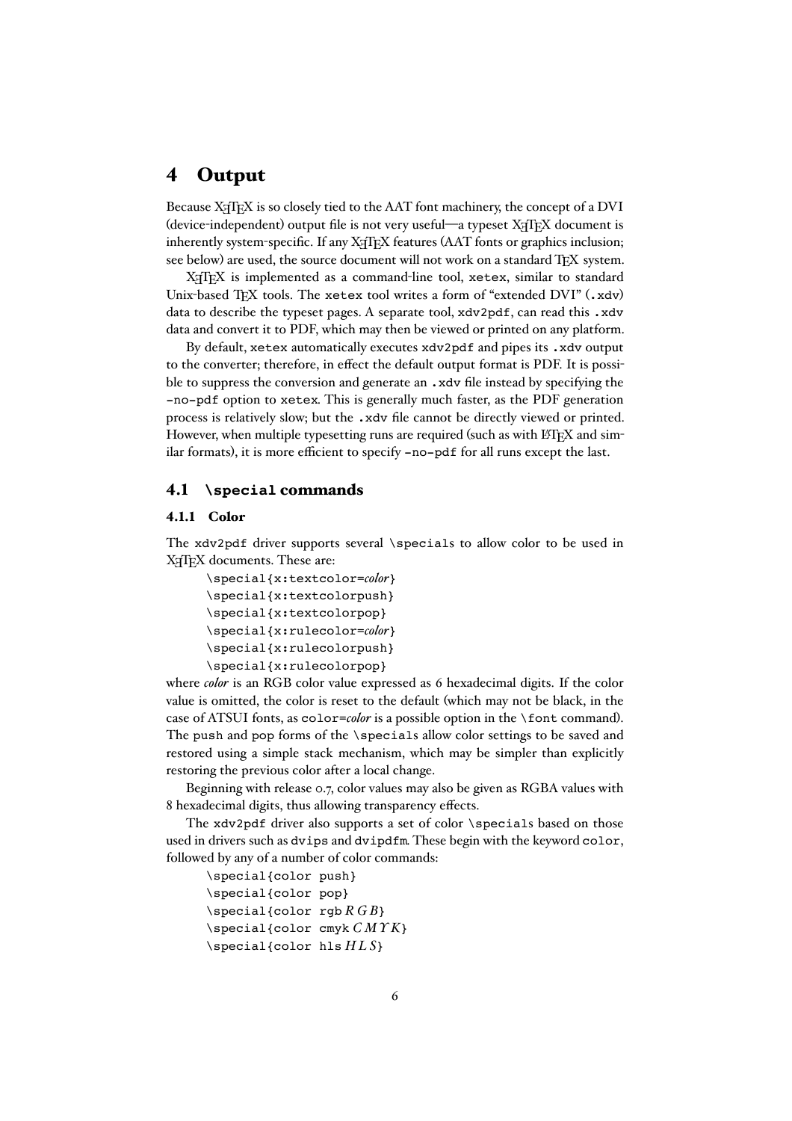## <span id="page-5-0"></span>4 Output

Because X<sub>T</sub>IFX is so closely tied to the AAT font machinery, the concept of a DVI (device-independent) output file is not very useful—a typeset XATEX document is inherently system-specific. If any  $X \nsubseteq Y$  features (AAT fonts or graphics inclusion; see below) are used, the source document will not work on a standard TEX system.

X<sub>H</sub>T<sub>E</sub>X is implemented as a command-line tool, xetex, similar to standard Unix-based TEX tools. The xetex tool writes a form of "extended DVI" (.xdv) data to describe the typeset pages. A separate tool, xdv2pdf, can read this .xdv data and convert it to PDF, which may then be viewed or printed on any platform.

By default, xetex automatically executes xdv2pdf and pipes its .xdv output to the converter; therefore, in effect the default output format is PDF. It is possible to suppress the conversion and generate an .xdv file instead by specifying the -no-pdf option to xetex. This is generally much faster, as the PDF generation process is relatively slow; but the .xdv file cannot be directly viewed or printed. However, when multiple typesetting runs are required (such as with LATEX and similar formats), it is more efficient to specify -no-pdf for all runs except the last.

#### 4.1 **\special** commands

#### 4.1.1 Color

The xdv2pdf driver supports several \specials to allow color to be used in X<sub>H</sub>T<sub>E</sub>X documents. These are:

```
\special{x:textcolor=color}
\special{x:textcolorpush}
\special{x:textcolorpop}
\special{x:rulecolor=color}
\special{x:rulecolorpush}
\special{x:rulecolorpop}
```
where *color* is an RGB color value expressed as 6 hexadecimal digits. If the color value is omitted, the color is reset to the default (which may not be black, in the case of ATSUI fonts, as color=*color* is a possible option in the \font command). The push and pop forms of the \specials allow color settings to be saved and restored using a simple stack mechanism, which may be simpler than explicitly restoring the previous color after a local change.

Beginning with release 0.7, color values may also be given as RGBA values with 8 hexadecimal digits, thus allowing transparency effects.

The xdv2pdf driver also supports a set of color \specials based on those used in drivers such as dvips and dvipdfm. These begin with the keyword color, followed by any of a number of color commands:

```
\special{color push}
\special{color pop}
\setminusspecial{color rgb R G B}
\special{color cmyk C MY K}
\special{color hls H L S}
```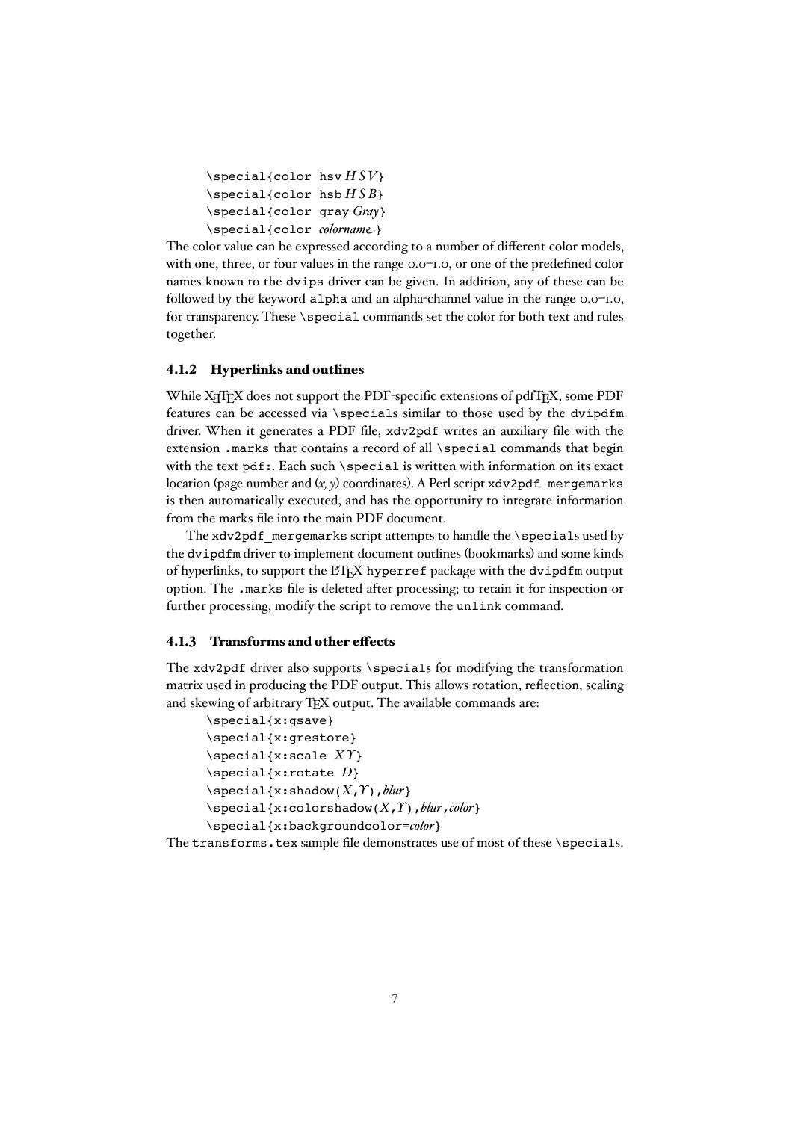```
\special{color hsv H SV}
\setminusspecial{color hsb HSB}
\special{color gray Gray}
\special{color colorname}
```
The color value can be expressed according to a number of different color models, with one, three, or four values in the range 0.0–1.0, or one of the predefined color names known to the dvips driver can be given. In addition, any of these can be followed by the keyword alpha and an alpha-channel value in the range 0.0–1.0, for transparency. These \special commands set the color for both text and rules together.

#### 4.1.2 Hyperlinks and outlines

While  $X \oplus Y$  does not support the PDF-specific extensions of pdfTEX, some PDF features can be accessed via \specials similar to those used by the dvipdfm driver. When it generates a PDF file, xdv2pdf writes an auxiliary file with the extension .marks that contains a record of all \special commands that begin with the text pdf: Each such \special is written with information on its exact location (page number and (*x, y*) coordinates). A Perl script xdv2pdf\_mergemarks is then automatically executed, and has the opportunity to integrate information from the marks file into the main PDF document.

The xdv2pdf mergemarks script attempts to handle the \specials used by the dvipdfm driver to implement document outlines (bookmarks) and some kinds of hyperlinks, to support the LATEX hyperref package with the dvipdfm output option. The .marks file is deleted after processing; to retain it for inspection or further processing, modify the script to remove the unlink command.

#### 4.1.3 Transforms and other effects

The xdv2pdf driver also supports \specials for modifying the transformation matrix used in producing the PDF output. This allows rotation, reflection, scaling and skewing of arbitrary TFX output. The available commands are:

```
\special{x:gsave}
\special{x:grestore}
\special{x:scale XY}
\special{x:rotate D}
\special{x:shadow(X,Y),blur}
\special{x:colorshadow(X,Y),blur,color}
\special{x:backgroundcolor=color}
```
The transforms.tex sample file demonstrates use of most of these \specials.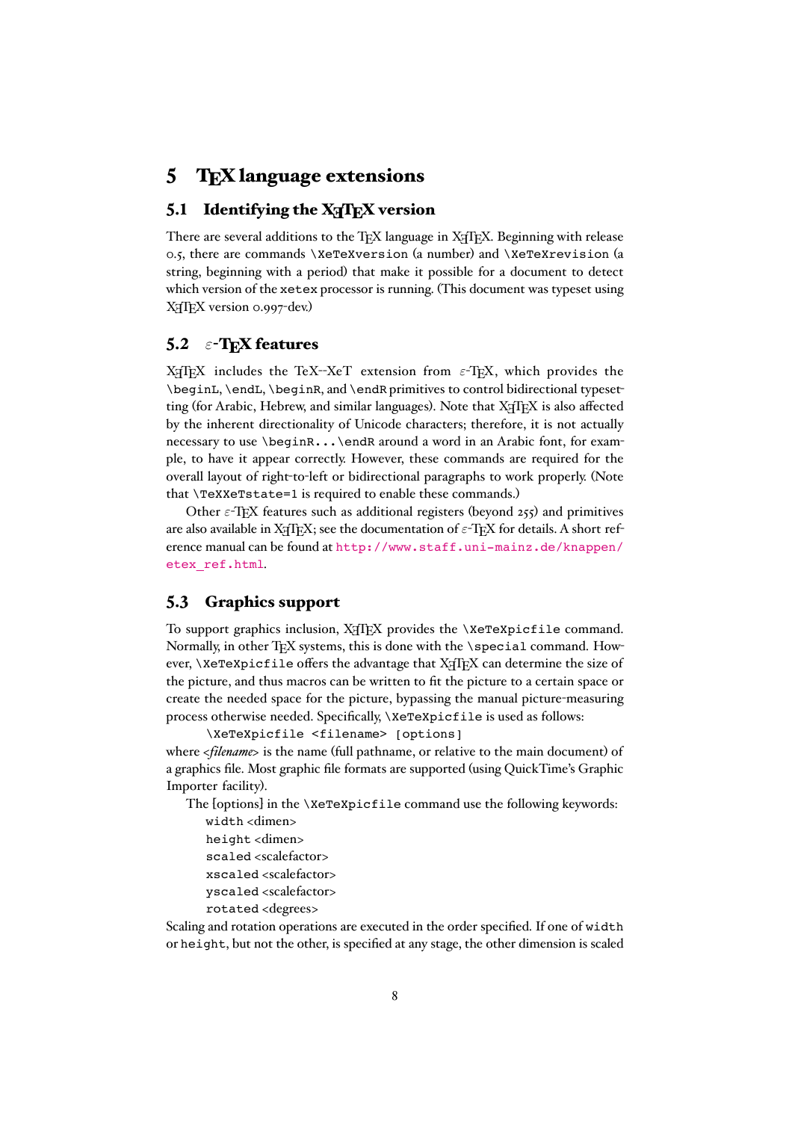# <span id="page-7-0"></span>5 TEX language extensions

### 5.1 Identifying the  $X\pi T_FX$  version

There are several additions to the TEX language in XATEX. Beginning with release 0.5, there are commands \XeTeXversion (a number) and \XeTeXrevision (a string, beginning with a period) that make it possible for a document to detect which version of the xetex processor is running. (This document was typeset using X<sub>H</sub>T<sub>E</sub>X version 0.997-dev.)

### 5.2  $\varepsilon$ -T<sub>E</sub>X features

X<sub>T</sub>IEX includes the TeX--XeT extension from  $\varepsilon$ -TEX, which provides the \beginL, \endL, \beginR, and \endR primitives to control bidirectional typesetting (for Arabic, Hebrew, and similar languages). Note that  $X \oplus Y$  is also affected by the inherent directionality of Unicode characters; therefore, it is not actually necessary to use \beginR...\endR around a word in an Arabic font, for example, to have it appear correctly. However, these commands are required for the overall layout of right-to-left or bidirectional paragraphs to work properly. (Note that \TeXXeTstate=1 is required to enable these commands.)

Other  $\varepsilon$ -T<sub>E</sub>X features such as additional registers (beyond 255) and primitives are also available in X<sub>T</sub>T<sub>E</sub>X; see the documentation of  $\varepsilon$ -T<sub>E</sub>X for details. A short reference manual can be found at [http://www.staff.uni-mainz.de/knappen/](http://www.staff.uni-mainz.de/knappen/etex_ref.html) [etex\\_ref.html](http://www.staff.uni-mainz.de/knappen/etex_ref.html).

#### 5.3 Graphics support

To support graphics inclusion, XHIEX provides the \XeTeXpicfile command. Normally, in other TEX systems, this is done with the \special command. However,  $\X$ eTeXpicfile offers the advantage that  $X$  $T$ F $X$  can determine the size of the picture, and thus macros can be written to fit the picture to a certain space or create the needed space for the picture, bypassing the manual picture-measuring process otherwise needed. Specifically, \XeTeXpicfile is used as follows:

\XeTeXpicfile <filename> [options] where *<filename>* is the name (full pathname, or relative to the main document) of a graphics file. Most graphic file formats are supported (using QuickTime's Graphic Importer facility).

The [options] in the \XeTeXpicfile command use the following keywords:

- width <dimen>
- height <dimen>
- scaled <scalefactor>
- xscaled <scalefactor>
- yscaled <scalefactor>
- rotated <degrees>

Scaling and rotation operations are executed in the order specified. If one of width or height, but not the other, is specified at any stage, the other dimension is scaled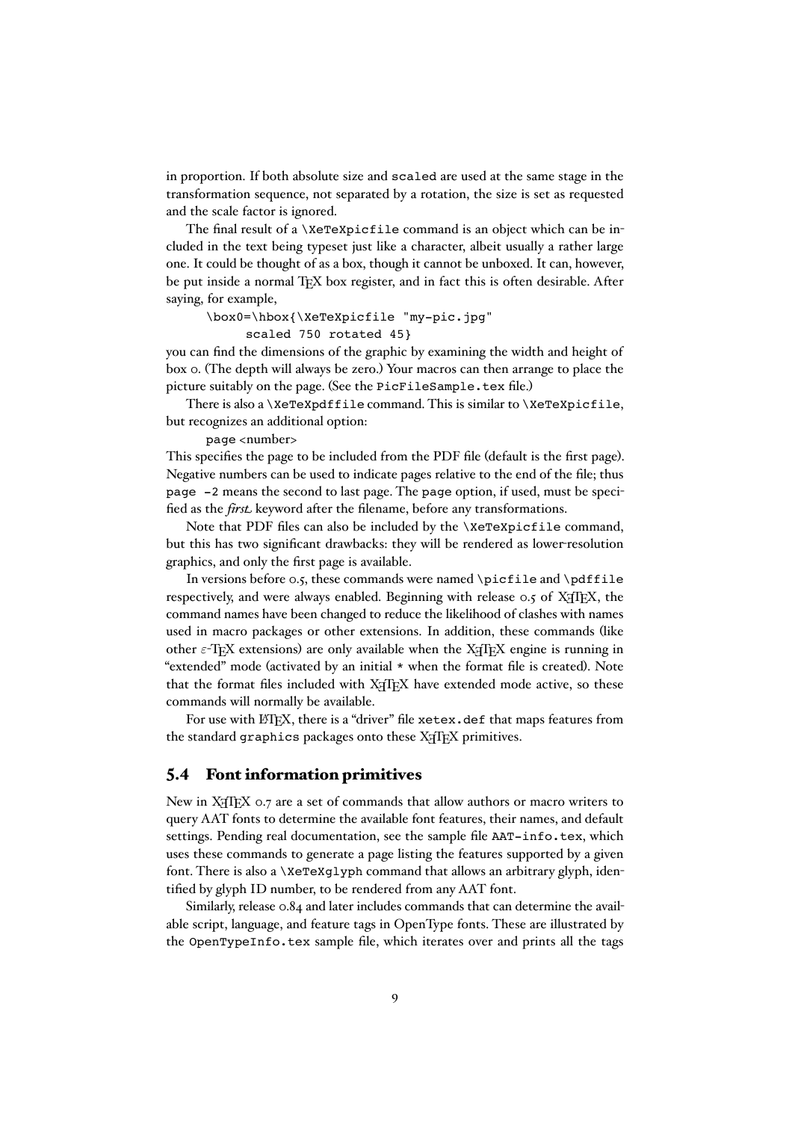<span id="page-8-0"></span>in proportion. If both absolute size and scaled are used at the same stage in the transformation sequence, not separated by a rotation, the size is set as requested and the scale factor is ignored.

The final result of a \XeTeXpicfile command is an object which can be included in the text being typeset just like a character, albeit usually a rather large one. It could be thought of as a box, though it cannot be unboxed. It can, however, be put inside a normal TEX box register, and in fact this is often desirable. After saying, for example,

\box0=\hbox{\XeTeXpicfile "my-pic.jpg"

scaled 750 rotated 45}

you can find the dimensions of the graphic by examining the width and height of box 0. (The depth will always be zero.) Your macros can then arrange to place the picture suitably on the page. (See the PicFileSample.tex file.)

There is also a  $\XeT$ eXpdffile command. This is similar to  $\XeT$ eXpicfile, but recognizes an additional option:

page <number>

This specifies the page to be included from the PDF file (default is the first page). Negative numbers can be used to indicate pages relative to the end of the file; thus page -2 means the second to last page. The page option, if used, must be specified as the *first* keyword after the filename, before any transformations.

Note that PDF files can also be included by the \XeTeXpicfile command, but this has two significant drawbacks: they will be rendered as lower-resolution graphics, and only the first page is available.

In versions before 0.5, these commands were named \picfile and \pdffile respectively, and were always enabled. Beginning with release  $\circ$ , of X<sub>T</sub>T<sub>E</sub>X, the command names have been changed to reduce the likelihood of clashes with names used in macro packages or other extensions. In addition, these commands (like other  $\varepsilon$ -T<sub>E</sub>X extensions) are only available when the X<sub>T</sub>T<sub>E</sub>X engine is running in "extended" mode (activated by an initial \* when the format file is created). Note that the format files included with X<sub>T</sub>TEX have extended mode active, so these commands will normally be available.

For use with LATEX, there is a "driver" file xetex.def that maps features from the standard graphics packages onto these X<sub>T</sub>T<sub>F</sub>X primitives.

#### 5.4 Font information primitives

New in X<sub>T</sub>T<sub>E</sub>X 0.7 are a set of commands that allow authors or macro writers to query AAT fonts to determine the available font features, their names, and default settings. Pending real documentation, see the sample file AAT-info.tex, which uses these commands to generate a page listing the features supported by a given font. There is also a \XeTeXqlyph command that allows an arbitrary glyph, identified by glyph ID number, to be rendered from any AAT font.

Similarly, release 0.84 and later includes commands that can determine the available script, language, and feature tags in OpenType fonts. These are illustrated by the OpenTypeInfo.tex sample file, which iterates over and prints all the tags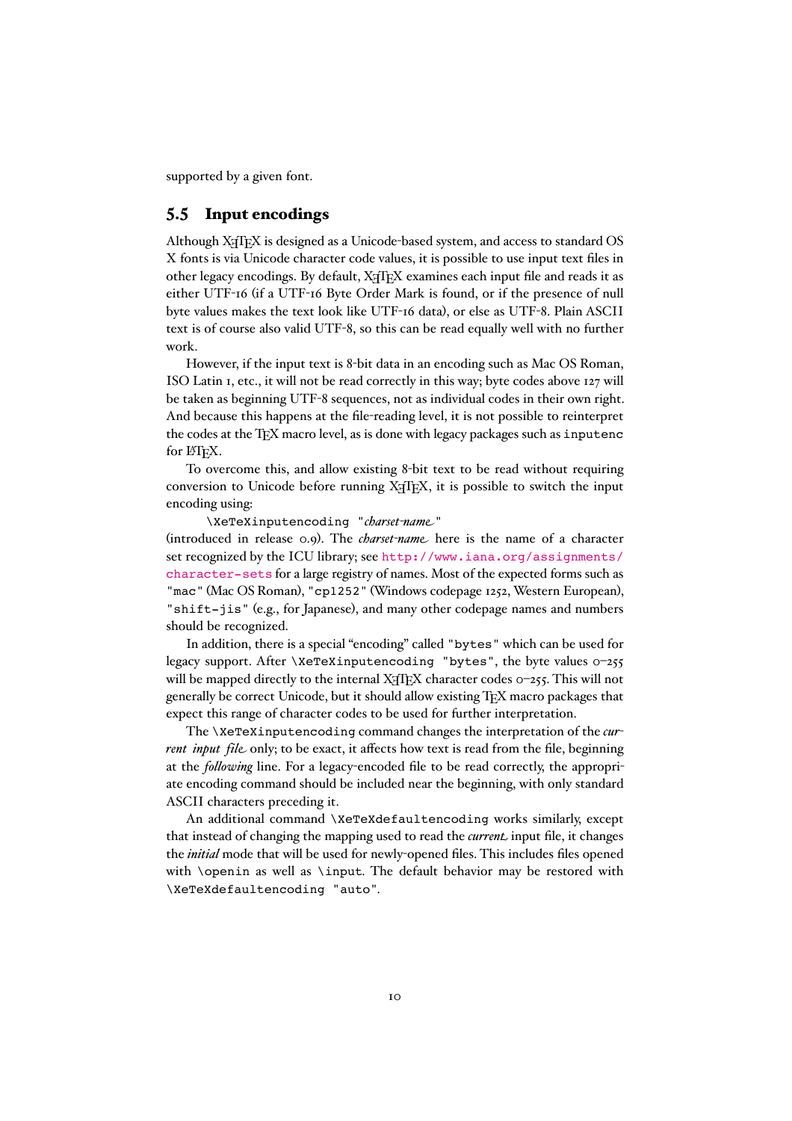<span id="page-9-0"></span>supported by a given font.

#### 5.5 Input encodings

Although X<sub>T</sub>T<sub>E</sub>X is designed as a Unicode-based system, and access to standard OS X fonts is via Unicode character code values, it is possible to use input text files in other legacy encodings. By default, XTIFX examines each input file and reads it as either UTF-16 (if a UTF-16 Byte Order Mark is found, or if the presence of null byte values makes the text look like UTF-16 data), or else as UTF-8. Plain ASCII text is of course also valid UTF-8, so this can be read equally well with no further work.

However, if the input text is 8-bit data in an encoding such as Mac OS Roman, ISO Latin 1, etc., it will not be read correctly in this way; byte codes above 127 will be taken as beginning UTF-8 sequences, not as individual codes in their own right. And because this happens at the file-reading level, it is not possible to reinterpret the codes at the TEX macro level, as is done with legacy packages such as inputenc for L'TFX.

To overcome this, and allow existing 8-bit text to be read without requiring conversion to Unicode before running X<sub>T</sub>TEX, it is possible to switch the input encoding using:

\XeTeXinputencoding "*charset-name*"

(introduced in release 0.9). The *charset-name* here is the name of a character set recognized by the ICU library; see [http://www.iana.org/assignments/](http://www.iana.org/assignments/character-sets) [character-sets](http://www.iana.org/assignments/character-sets) for a large registry of names. Most of the expected forms such as "mac" (Mac OS Roman), "cp1252" (Windows codepage 1252, Western European), "shift-jis" (e.g., for Japanese), and many other codepage names and numbers should be recognized.

In addition, there is a special "encoding" called "bytes" which can be used for legacy support. After \XeTeXinputencoding "bytes", the byte values 0–255 will be mapped directly to the internal  $X \oplus Y$  character codes  $0-255$ . This will not generally be correct Unicode, but it should allow existing TEX macro packages that expect this range of character codes to be used for further interpretation.

The \XeTeXinputencoding command changes the interpretation of the *current input file* only; to be exact, it affects how text is read from the file, beginning at the *following* line. For a legacy-encoded file to be read correctly, the appropriate encoding command should be included near the beginning, with only standard ASCII characters preceding it.

An additional command \XeTeXdefaultencoding works similarly, except that instead of changing the mapping used to read the *current* input file, it changes the *initial* mode that will be used for newly-opened files. This includes files opened with \openin as well as \input. The default behavior may be restored with \XeTeXdefaultencoding "auto".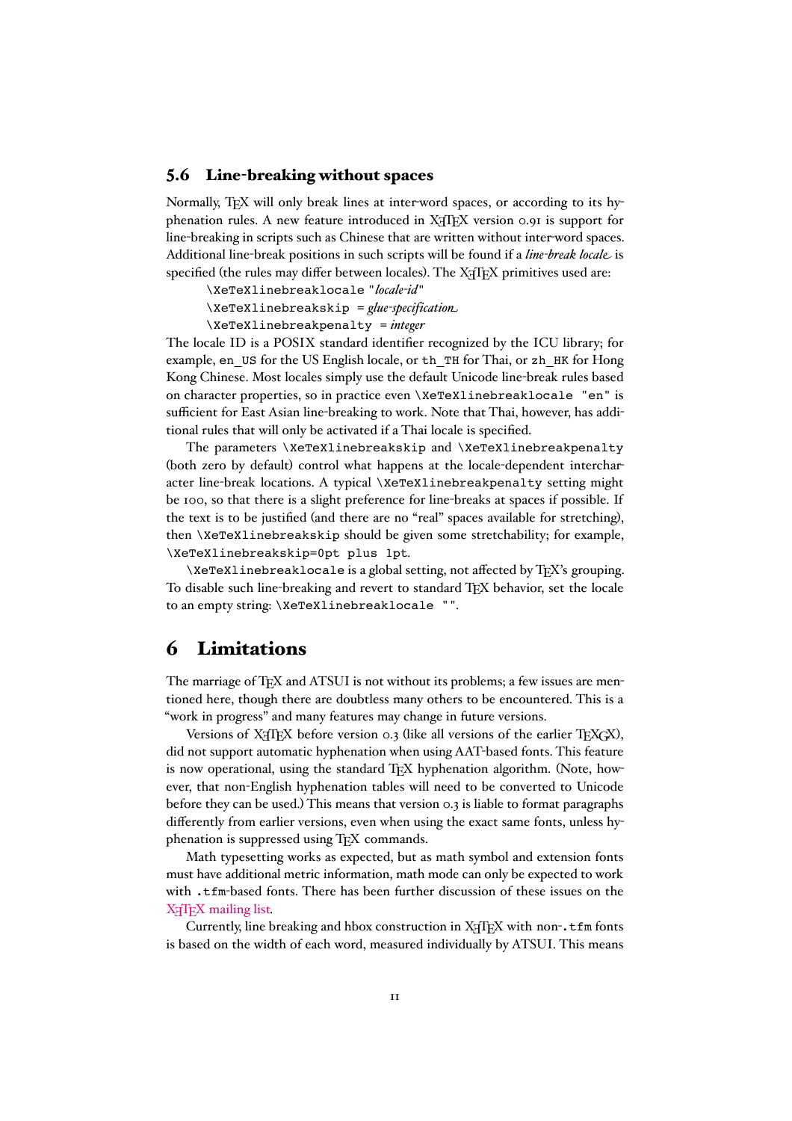#### <span id="page-10-0"></span>5.6 Line-breaking without spaces

Normally, T<sub>EX</sub> will only break lines at inter-word spaces, or according to its hyphenation rules. A new feature introduced in X<sub>T</sub>TEX version 0.91 is support for line-breaking in scripts such as Chinese that are written without inter-word spaces. Additional line-break positions in such scripts will be found if a *line-break locale* is specified (the rules may differ between locales). The X<sub>T</sub>T<sub>E</sub>X primitives used are:

\XeTeXlinebreaklocale "*locale-id*"

\XeTeXlinebreakskip = *glue-specification*

\XeTeXlinebreakpenalty = *integer*

The locale ID is a POSIX standard identifier recognized by the ICU library; for example, en\_US for the US English locale, or th\_TH for Thai, or zh\_HK for Hong Kong Chinese. Most locales simply use the default Unicode line-break rules based on character properties, so in practice even \XeTeXlinebreaklocale "en" is sufficient for East Asian line-breaking to work. Note that Thai, however, has additional rules that will only be activated if a Thai locale is specified.

The parameters \XeTeXlinebreakskip and \XeTeXlinebreakpenalty (both zero by default) control what happens at the locale-dependent intercharacter line-break locations. A typical \XeTeXlinebreakpenalty setting might be 100, so that there is a slight preference for line-breaks at spaces if possible. If the text is to be justified (and there are no "real" spaces available for stretching), then \XeTeXlinebreakskip should be given some stretchability; for example, \XeTeXlinebreakskip=0pt plus 1pt.

\XeTeXlinebreaklocale is a global setting, not affected by TEX's grouping. To disable such line-breaking and revert to standard TEX behavior, set the locale to an empty string: \XeTeXlinebreaklocale "".

# 6 Limitations

The marriage of T<sub>E</sub>X and ATSUI is not without its problems; a few issues are mentioned here, though there are doubtless many others to be encountered. This is a "work in progress" and many features may change in future versions.

Versions of X<sub>T</sub>TEX before version 0.3 (like all versions of the earlier TEXGX), did not support automatic hyphenation when using AAT-based fonts. This feature is now operational, using the standard TEX hyphenation algorithm. (Note, however, that non-English hyphenation tables will need to be converted to Unicode before they can be used.) This means that version 0.3 is liable to format paragraphs differently from earlier versions, even when using the exact same fonts, unless hyphenation is suppressed using TFX commands.

Math typesetting works as expected, but as math symbol and extension fonts must have additional metric information, math mode can only be expected to work with .tfm-based fonts. There has been further discussion of these issues on the X<sub>H</sub>T<sub>E</sub>X [mailing](http://tug.org/mailman/listinfo/xetex) list.

Currently, line breaking and hbox construction in  $X \nsubseteq T$  with non-.tfm fonts is based on the width of each word, measured individually by ATSUI. This means